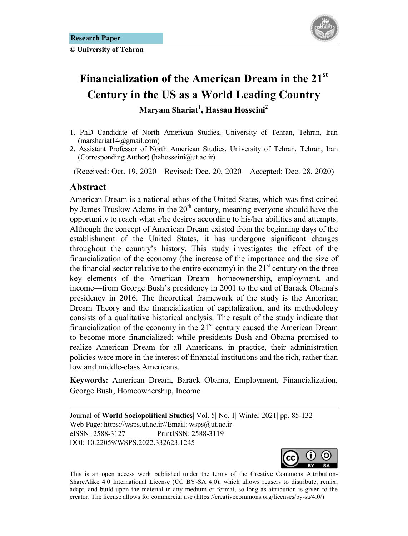**© University of Tehran** 



# **Financialization of the American Dream in the 21st Century in the US as a World Leading Country Maryam Shariat<sup>1</sup> , Hassan Hosseini2**

- 1. PhD Candidate of North American Studies, University of Tehran, Tehran, Iran (marshariat14@gmail.com)
- 2. Assistant Professor of North American Studies, University of Tehran, Tehran, Iran (Corresponding Author) (hahosseini@ut.ac.ir)

(Received: Oct. 19, 2020 Revised: Dec. 20, 2020 Accepted: Dec. 28, 2020)

# Abstract

<u>.</u>

American Dream is a national ethos of the United States, which was first coined by James Truslow Adams in the  $20<sup>th</sup>$  century, meaning everyone should have the opportunity to reach what s/he desires according to his/her abilities and attempts. Although the concept of American Dream existed from the beginning days of the establishment of the United States, it has undergone significant changes throughout the country's history. This study investigates the effect of the financialization of the economy (the increase of the importance and the size of the financial sector relative to the entire economy) in the  $21<sup>st</sup>$  century on the three key elements of the American Dream—homeownership, employment, and income—from George Bush's presidency in 2001 to the end of Barack Obama's presidency in 2016. The theoretical framework of the study is the American Dream Theory and the financialization of capitalization, and its methodology consists of a qualitative historical analysis. The result of the study indicate that financialization of the economy in the  $21<sup>st</sup>$  century caused the American Dream to become more financialized: while presidents Bush and Obama promised to realize American Dream for all Americans, in practice, their administration policies were more in the interest of financial institutions and the rich, rather than low and middle-class Americans.

**Keywords:** American Dream, Barack Obama, Employment, Financialization, George Bush, Homeownership, Income

Journal of **World Sociopolitical Studies**| Vol. 5| No. 1| Winter 2021| pp. 85-132 Web Page: https://wsps.ut.ac.ir//Email: wsps@ut.ac.ir eISSN: 2588-3127 PrintISSN: 2588-3119 DOI: 10.22059/WSPS.2022.332623.1245



This is an open access work published under the terms of the Creative Commons Attribution-ShareAlike 4.0 International License (CC BY-SA 4.0), which allows reusers to distribute, remix, adapt, and build upon the material in any medium or format, so long as attribution is given to the creator. The license allows for commercial use (https://creativecommons.org/licenses/by-sa/4.0/)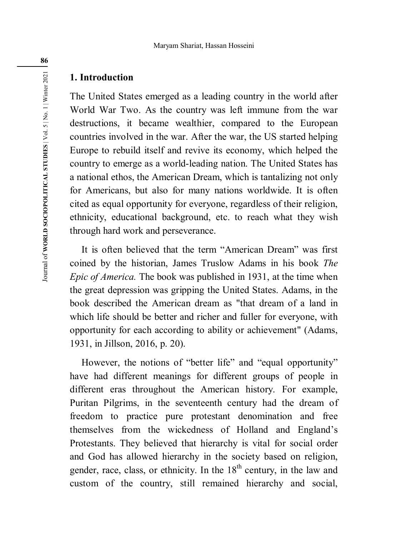# **1. Introduction**

The United States emerged as a leading country in the world after World War Two. As the country was left immune from the war destructions, it became wealthier, compared to the European countries involved in the war. After the war, the US started helping Europe to rebuild itself and revive its economy, which helped the country to emerge as a world-leading nation. The United States has a national ethos, the American Dream, which is tantalizing not only for Americans, but also for many nations worldwide. It is often cited as equal opportunity for everyone, regardless of their religion, ethnicity, educational background, etc. to reach what they wish through hard work and perseverance.

It is often believed that the term "American Dream" was first coined by the historian, James Truslow Adams in his book *The Epic of America.* The book was published in 1931, at the time when the great depression was gripping the United States. Adams, in the book described the American dream as "that dream of a land in which life should be better and richer and fuller for everyone, with opportunity for each according to ability or achievement" (Adams, 1931, in Jillson, 2016, p. 20).

However, the notions of "better life" and "equal opportunity" have had different meanings for different groups of people in different eras throughout the American history. For example, Puritan Pilgrims, in the seventeenth century had the dream of freedom to practice pure protestant denomination and free themselves from the wickedness of Holland and England's Protestants. They believed that hierarchy is vital for social order and God has allowed hierarchy in the society based on religion, gender, race, class, or ethnicity. In the  $18<sup>th</sup>$  century, in the law and custom of the country, still remained hierarchy and social,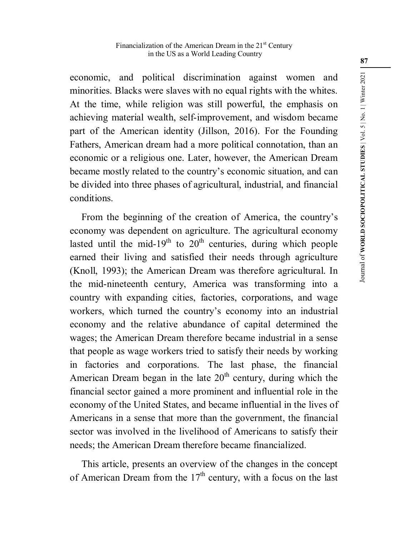economic, and political discrimination against women and minorities. Blacks were slaves with no equal rights with the whites. At the time, while religion was still powerful, the emphasis on achieving material wealth, self-improvement, and wisdom became part of the American identity (Jillson, 2016). For the Founding Fathers, American dream had a more political connotation, than an economic or a religious one. Later, however, the American Dream became mostly related to the country's economic situation, and can be divided into three phases of agricultural, industrial, and financial conditions.

From the beginning of the creation of America, the country's economy was dependent on agriculture. The agricultural economy lasted until the mid-19<sup>th</sup> to  $20<sup>th</sup>$  centuries, during which people earned their living and satisfied their needs through agriculture (Knoll, 1993); the American Dream was therefore agricultural. In the mid-nineteenth century, America was transforming into a country with expanding cities, factories, corporations, and wage workers, which turned the country's economy into an industrial economy and the relative abundance of capital determined the wages; the American Dream therefore became industrial in a sense that people as wage workers tried to satisfy their needs by working in factories and corporations. The last phase, the financial American Dream began in the late  $20<sup>th</sup>$  century, during which the financial sector gained a more prominent and influential role in the economy of the United States, and became influential in the lives of Americans in a sense that more than the government, the financial sector was involved in the livelihood of Americans to satisfy their needs; the American Dream therefore became financialized.

This article, presents an overview of the changes in the concept of American Dream from the  $17<sup>th</sup>$  century, with a focus on the last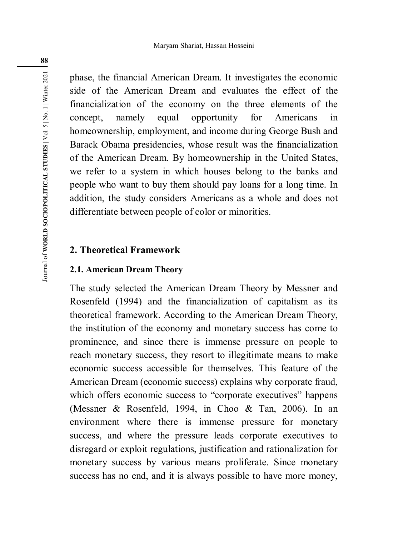phase, the financial American Dream. It investigates the economic side of the American Dream and evaluates the effect of the financialization of the economy on the three elements of the concept, namely equal opportunity for Americans in homeownership, employment, and income during George Bush and Barack Obama presidencies, whose result was the financialization of the American Dream. By homeownership in the United States, we refer to a system in which houses belong to the banks and people who want to buy them should pay loans for a long time. In addition, the study considers Americans as a whole and does not differentiate between people of color or minorities.

# **2. Theoretical Framework**

## **2.1. American Dream Theory**

The study selected the American Dream Theory by Messner and Rosenfeld (1994) and the financialization of capitalism as its theoretical framework. According to the American Dream Theory, the institution of the economy and monetary success has come to prominence, and since there is immense pressure on people to reach monetary success, they resort to illegitimate means to make economic success accessible for themselves. This feature of the American Dream (economic success) explains why corporate fraud, which offers economic success to "corporate executives" happens (Messner & Rosenfeld, 1994, in Choo & Tan, 2006). In an environment where there is immense pressure for monetary success, and where the pressure leads corporate executives to disregard or exploit regulations, justification and rationalization for monetary success by various means proliferate. Since monetary success has no end, and it is always possible to have more money,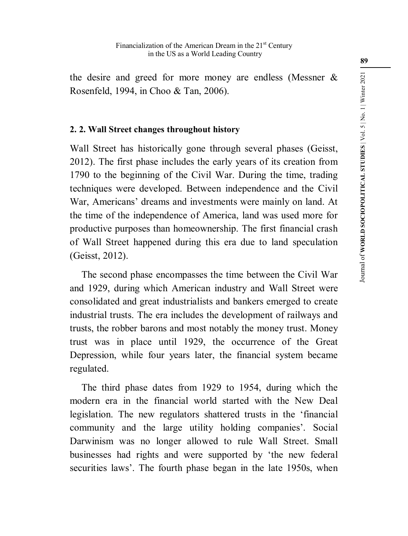the desire and greed for more money are endless (Messner & Rosenfeld, 1994, in Choo & Tan, 2006).

# **2. 2. Wall Street changes throughout history**

Wall Street has historically gone through several phases (Geisst, 2012). The first phase includes the early years of its creation from 1790 to the beginning of the Civil War. During the time, trading techniques were developed. Between independence and the Civil War, Americans' dreams and investments were mainly on land. At the time of the independence of America, land was used more for productive purposes than homeownership. The first financial crash of Wall Street happened during this era due to land speculation (Geisst, 2012).

The second phase encompasses the time between the Civil War and 1929, during which American industry and Wall Street were consolidated and great industrialists and bankers emerged to create industrial trusts. The era includes the development of railways and trusts, the robber barons and most notably the money trust. Money trust was in place until 1929, the occurrence of the Great Depression, while four years later, the financial system became regulated.

The third phase dates from 1929 to 1954, during which the modern era in the financial world started with the New Deal legislation. The new regulators shattered trusts in the 'financial community and the large utility holding companies'. Social Darwinism was no longer allowed to rule Wall Street. Small businesses had rights and were supported by 'the new federal securities laws'. The fourth phase began in the late 1950s, when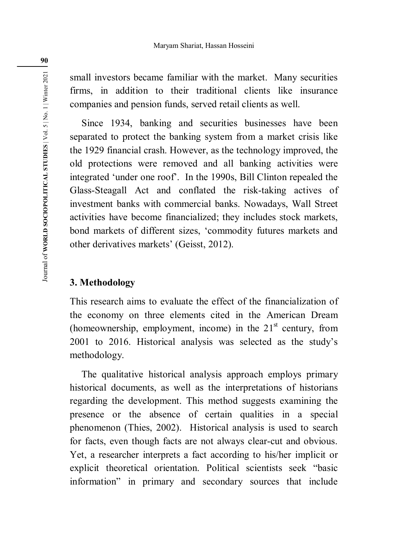small investors became familiar with the market. Many securities firms, in addition to their traditional clients like insurance companies and pension funds, served retail clients as well.

Since 1934, banking and securities businesses have been separated to protect the banking system from a market crisis like the 1929 financial crash. However, as the technology improved, the old protections were removed and all banking activities were integrated 'under one roof'. In the 1990s, Bill Clinton repealed the Glass-Steagall Act and conflated the risk-taking actives of investment banks with commercial banks. Nowadays, Wall Street activities have become financialized; they includes stock markets, bond markets of different sizes, 'commodity futures markets and other derivatives markets' (Geisst, 2012).

# **3. Methodology**

This research aims to evaluate the effect of the financialization of the economy on three elements cited in the American Dream (homeownership, employment, income) in the  $21<sup>st</sup>$  century, from 2001 to 2016. Historical analysis was selected as the study's methodology.

The qualitative historical analysis approach employs primary historical documents, as well as the interpretations of historians regarding the development. This method suggests examining the presence or the absence of certain qualities in a special phenomenon (Thies, 2002). Historical analysis is used to search for facts, even though facts are not always clear-cut and obvious. Yet, a researcher interprets a fact according to his/her implicit or explicit theoretical orientation. Political scientists seek "basic information" in primary and secondary sources that include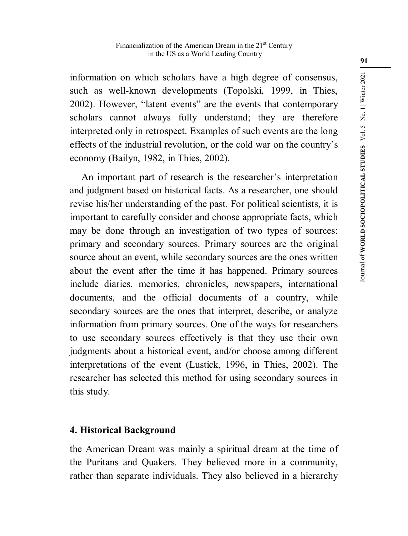information on which scholars have a high degree of consensus, such as well-known developments (Topolski, 1999, in Thies, 2002). However, "latent events" are the events that contemporary scholars cannot always fully understand; they are therefore interpreted only in retrospect. Examples of such events are the long effects of the industrial revolution, or the cold war on the country's economy (Bailyn, 1982, in Thies, 2002).

An important part of research is the researcher's interpretation and judgment based on historical facts. As a researcher, one should revise his/her understanding of the past. For political scientists, it is important to carefully consider and choose appropriate facts, which may be done through an investigation of two types of sources: primary and secondary sources. Primary sources are the original source about an event, while secondary sources are the ones written about the event after the time it has happened. Primary sources include diaries, memories, chronicles, newspapers, international documents, and the official documents of a country, while secondary sources are the ones that interpret, describe, or analyze information from primary sources. One of the ways for researchers to use secondary sources effectively is that they use their own judgments about a historical event, and/or choose among different interpretations of the event (Lustick, 1996, in Thies, 2002). The researcher has selected this method for using secondary sources in this study.

# **4. Historical Background**

the American Dream was mainly a spiritual dream at the time of the Puritans and Quakers. They believed more in a community, rather than separate individuals. They also believed in a hierarchy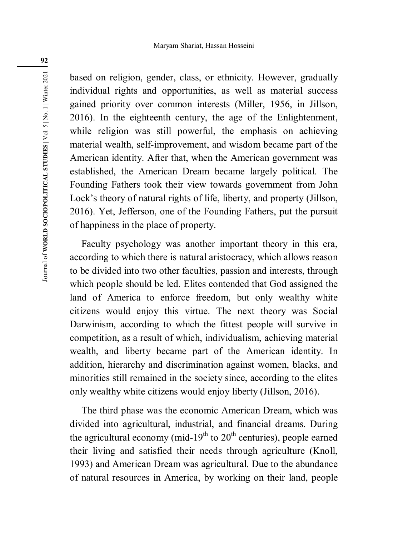based on religion, gender, class, or ethnicity. However, gradually individual rights and opportunities, as well as material success gained priority over common interests (Miller, 1956, in Jillson, 2016). In the eighteenth century, the age of the Enlightenment, while religion was still powerful, the emphasis on achieving material wealth, self-improvement, and wisdom became part of the American identity. After that, when the American government was established, the American Dream became largely political. The Founding Fathers took their view towards government from John Lock's theory of natural rights of life, liberty, and property (Jillson, 2016). Yet, Jefferson, one of the Founding Fathers, put the pursuit of happiness in the place of property.

Faculty psychology was another important theory in this era, according to which there is natural aristocracy, which allows reason to be divided into two other faculties, passion and interests, through which people should be led. Elites contended that God assigned the land of America to enforce freedom, but only wealthy white citizens would enjoy this virtue. The next theory was Social Darwinism, according to which the fittest people will survive in competition, as a result of which, individualism, achieving material wealth, and liberty became part of the American identity. In addition, hierarchy and discrimination against women, blacks, and minorities still remained in the society since, according to the elites only wealthy white citizens would enjoy liberty (Jillson, 2016).

The third phase was the economic American Dream, which was divided into agricultural, industrial, and financial dreams. During the agricultural economy (mid-19<sup>th</sup> to  $20<sup>th</sup>$  centuries), people earned their living and satisfied their needs through agriculture (Knoll, 1993) and American Dream was agricultural. Due to the abundance of natural resources in America, by working on their land, people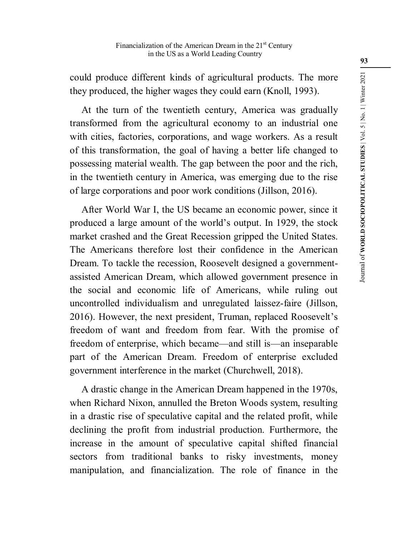could produce different kinds of agricultural products. The more they produced, the higher wages they could earn (Knoll, 1993).

At the turn of the twentieth century, America was gradually transformed from the agricultural economy to an industrial one with cities, factories, corporations, and wage workers. As a result of this transformation, the goal of having a better life changed to possessing material wealth. The gap between the poor and the rich, in the twentieth century in America, was emerging due to the rise of large corporations and poor work conditions (Jillson, 2016).

After World War I, the US became an economic power, since it produced a large amount of the world's output. In 1929, the stock market crashed and the Great Recession gripped the United States. The Americans therefore lost their confidence in the American Dream. To tackle the recession, Roosevelt designed a governmentassisted American Dream, which allowed government presence in the social and economic life of Americans, while ruling out uncontrolled individualism and unregulated laissez-faire (Jillson, 2016). However, the next president, Truman, replaced Roosevelt's freedom of want and freedom from fear. With the promise of freedom of enterprise, which became—and still is—an inseparable part of the American Dream. Freedom of enterprise excluded government interference in the market (Churchwell, 2018).

A drastic change in the American Dream happened in the 1970s, when Richard Nixon, annulled the Breton Woods system, resulting in a drastic rise of speculative capital and the related profit, while declining the profit from industrial production. Furthermore, the increase in the amount of speculative capital shifted financial sectors from traditional banks to risky investments, money manipulation, and financialization. The role of finance in the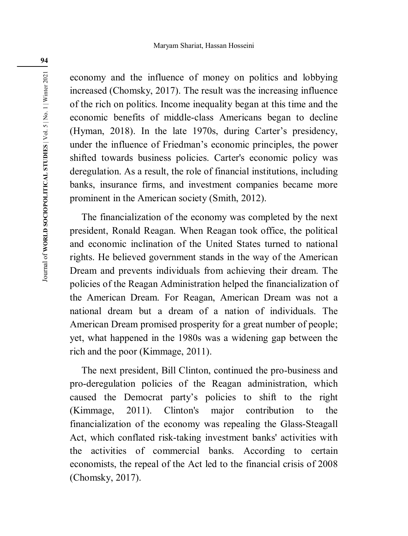economy and the influence of money on politics and lobbying increased (Chomsky, 2017). The result was the increasing influence of the rich on politics. Income inequality began at this time and the economic benefits of middle-class Americans began to decline (Hyman, 2018). In the late 1970s, during Carter's presidency, under the influence of Friedman's economic principles, the power shifted towards business policies. Carter's economic policy was deregulation. As a result, the role of financial institutions, including banks, insurance firms, and investment companies became more prominent in the American society (Smith, 2012).

The financialization of the economy was completed by the next president, Ronald Reagan. When Reagan took office, the political and economic inclination of the United States turned to national rights. He believed government stands in the way of the American Dream and prevents individuals from achieving their dream. The policies of the Reagan Administration helped the financialization of the American Dream. For Reagan, American Dream was not a national dream but a dream of a nation of individuals. The American Dream promised prosperity for a great number of people; yet, what happened in the 1980s was a widening gap between the rich and the poor (Kimmage, 2011).

The next president, Bill Clinton, continued the pro-business and pro-deregulation policies of the Reagan administration, which caused the Democrat party's policies to shift to the right (Kimmage, 2011). Clinton's major contribution to the financialization of the economy was repealing the Glass-Steagall Act, which conflated risk-taking investment banks' activities with the activities of commercial banks. According to certain economists, the repeal of the Act led to the financial crisis of 2008 (Chomsky, 2017).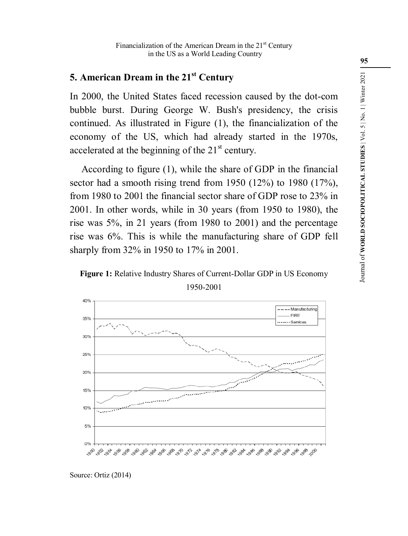# **5. American Dream in the 21st Century**

In 2000, the United States faced recession caused by the dot-com bubble burst. During George W. Bush's presidency, the crisis continued. As illustrated in Figure (1), the financialization of the economy of the US, which had already started in the 1970s, accelerated at the beginning of the  $21<sup>st</sup>$  century.

According to figure (1), while the share of GDP in the financial sector had a smooth rising trend from 1950 (12%) to 1980 (17%), from 1980 to 2001 the financial sector share of GDP rose to 23% in 2001. In other words, while in 30 years (from 1950 to 1980), the rise was 5%, in 21 years (from 1980 to 2001) and the percentage rise was 6%. This is while the manufacturing share of GDP fell sharply from 32% in 1950 to 17% in 2001.

**Figure 1:** Relative Industry Shares of Current-Dollar GDP in US Economy 1950-2001



Source: Ortiz (2014)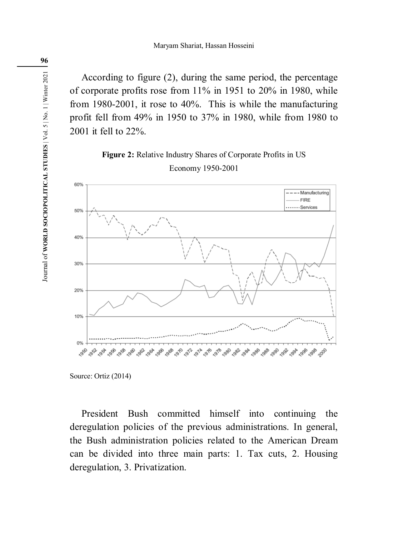According to figure (2), during the same period, the percentage of corporate profits rose from 11% in 1951 to 20% in 1980, while from 1980-2001, it rose to 40%. This is while the manufacturing profit fell from 49% in 1950 to 37% in 1980, while from 1980 to 2001 it fell to 22%.

# **Figure 2:** Relative Industry Shares of Corporate Profits in US Economy 1950-2001



Source: Ortiz (2014)

President Bush committed himself into continuing the deregulation policies of the previous administrations. In general, the Bush administration policies related to the American Dream can be divided into three main parts: 1. Tax cuts, 2. Housing deregulation, 3. Privatization.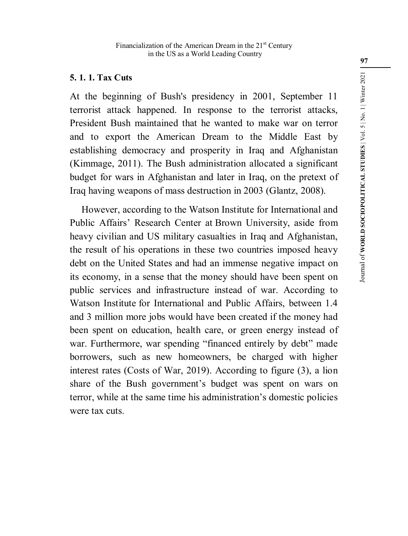# **5. 1. 1. Tax Cuts**

At the beginning of Bush's presidency in 2001, September 11 terrorist attack happened. In response to the terrorist attacks, President Bush maintained that he wanted to make war on terror and to export the American Dream to the Middle East by establishing democracy and prosperity in Iraq and Afghanistan (Kimmage, 2011). The Bush administration allocated a significant budget for wars in Afghanistan and later in Iraq, on the pretext of Iraq having weapons of mass destruction in 2003 (Glantz, 2008).

However, according to the Watson Institute for International and Public Affairs' Research Center at Brown University, aside from heavy civilian and US military casualties in Iraq and Afghanistan, the result of his operations in these two countries imposed heavy debt on the United States and had an immense negative impact on its economy, in a sense that the money should have been spent on public services and infrastructure instead of war. According to Watson Institute for International and Public Affairs, between 1.4 and 3 million more jobs would have been created if the money had been spent on education, health care, or green energy instead of war. Furthermore, war spending "financed entirely by debt" made borrowers, such as new homeowners, be charged with higher interest rates (Costs of War, 2019). According to figure (3), a lion share of the Bush government's budget was spent on wars on terror, while at the same time his administration's domestic policies were tax cuts.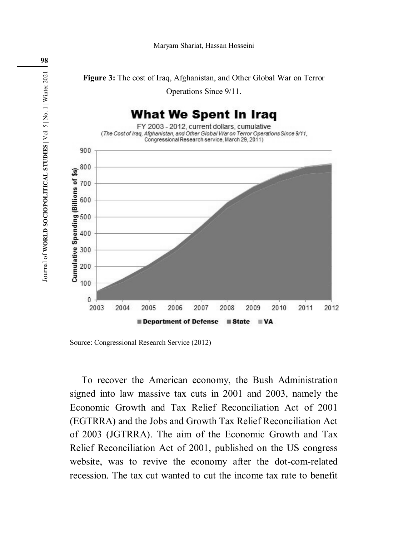

Source: Congressional Research Service (2012)

To recover the American economy, the Bush Administration signed into law massive tax cuts in 2001 and 2003, namely the Economic Growth and Tax Relief Reconciliation Act of 2001 (EGTRRA) and the Jobs and Growth Tax Relief Reconciliation Act of 2003 (JGTRRA). The aim of the Economic Growth and Tax Relief Reconciliation Act of 2001, published on the US congress website, was to revive the economy after the dot-com-related recession. The tax cut wanted to cut the income tax rate to benefit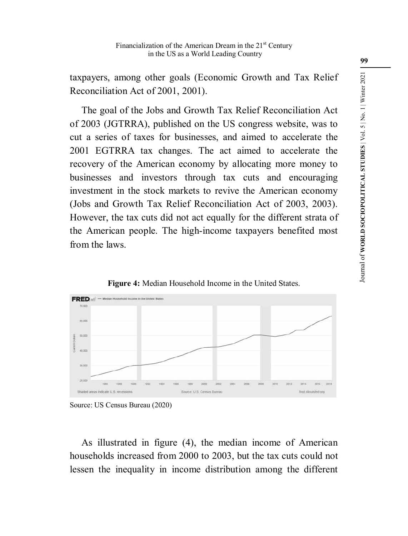taxpayers, among other goals (Economic Growth and Tax Relief Reconciliation Act of 2001, 2001).

The goal of the Jobs and Growth Tax Relief Reconciliation Act of 2003 (JGTRRA), published on the US congress website, was to cut a series of taxes for businesses, and aimed to accelerate the 2001 EGTRRA tax changes. The act aimed to accelerate the recovery of the American economy by allocating more money to businesses and investors through tax cuts and encouraging investment in the stock markets to revive the American economy (Jobs and Growth Tax Relief Reconciliation Act of 2003, 2003). However, the tax cuts did not act equally for the different strata of the American people. The high-income taxpayers benefited most from the laws.



**Figure 4:** Median Household Income in the United States.

As illustrated in figure (4), the median income of American households increased from 2000 to 2003, but the tax cuts could not lessen the inequality in income distribution among the different

Source: US Census Bureau (2020)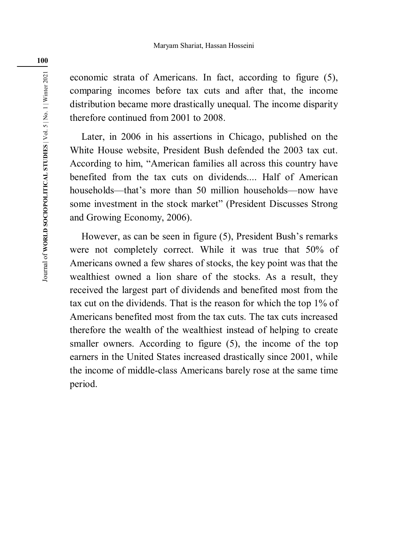economic strata of Americans. In fact, according to figure (5), comparing incomes before tax cuts and after that, the income distribution became more drastically unequal. The income disparity therefore continued from 2001 to 2008.

Later, in 2006 in his assertions in Chicago, published on the White House website, President Bush defended the 2003 tax cut. According to him, "American families all across this country have benefited from the tax cuts on dividends. Half of American households—that's more than 50 million households—now have some investment in the stock market" (President Discusses Strong and Growing Economy, 2006).

However, as can be seen in figure (5), President Bush's remarks were not completely correct. While it was true that 50% of Americans owned a few shares of stocks, the key point was that the wealthiest owned a lion share of the stocks. As a result, they received the largest part of dividends and benefited most from the tax cut on the dividends. That is the reason for which the top 1% of Americans benefited most from the tax cuts. The tax cuts increased therefore the wealth of the wealthiest instead of helping to create smaller owners. According to figure (5), the income of the top earners in the United States increased drastically since 2001, while the income of middle-class Americans barely rose at the same time period.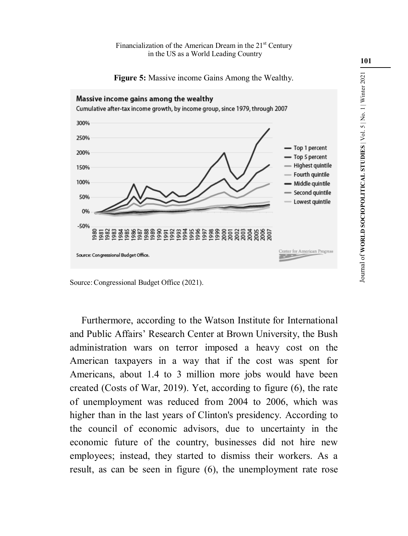Financialization of the American Dream in the 21<sup>st</sup> Century in the US as a World Leading Country

**Figure 5:** Massive income Gains Among the Wealthy.



Source:Congressional Budget Office (2021).

Furthermore, according to the Watson Institute for International and Public Affairs' Research Center at Brown University, the Bush administration wars on terror imposed a heavy cost on the American taxpayers in a way that if the cost was spent for Americans, about 1.4 to 3 million more jobs would have been created (Costs of War, 2019). Yet, according to figure (6), the rate of unemployment was reduced from 2004 to 2006, which was higher than in the last years of Clinton's presidency. According to the council of economic advisors, due to uncertainty in the economic future of the country, businesses did not hire new employees; instead, they started to dismiss their workers. As a result, as can be seen in figure (6), the unemployment rate rose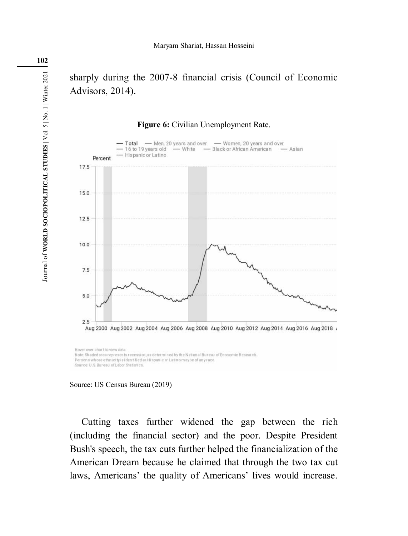sharply during the 2007-8 financial crisis (Council of Economic Advisors, 2014).

#### **Figure 6:** Civilian Unemployment Rate.





Cutting taxes further widened the gap between the rich (including the financial sector) and the poor. Despite President Bush's speech, the tax cuts further helped the financialization of the American Dream because he claimed that through the two tax cut laws, Americans' the quality of Americans' lives would increase.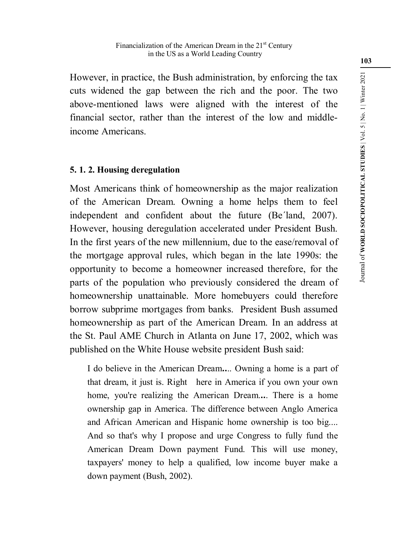However, in practice, the Bush administration, by enforcing the tax cuts widened the gap between the rich and the poor. The two above-mentioned laws were aligned with the interest of the financial sector, rather than the interest of the low and middleincome Americans.

# **5. 1. 2. Housing deregulation**

Most Americans think of homeownership as the major realization of the American Dream. Owning a home helps them to feel independent and confident about the future (Be´land, 2007). However, housing deregulation accelerated under President Bush. In the first years of the new millennium, due to the ease/removal of the mortgage approval rules, which began in the late 1990s: the opportunity to become a homeowner increased therefore, for the parts of the population who previously considered the dream of homeownership unattainable. More homebuyers could therefore borrow subprime mortgages from banks. President Bush assumed homeownership as part of the American Dream. In an address at the St. Paul AME Church in Atlanta on June 17, 2002, which was published on the White House website president Bush said:

I do believe in the American Dream**..**.. Owning a home is a part of that dream, it just is. Right here in America if you own your own home, you're realizing the American Dream.**..**. There is a home ownership gap in America. The difference between Anglo America and African American and Hispanic home ownership is too big.... And so that's why I propose and urge Congress to fully fund the American Dream Down payment Fund. This will use money, taxpayers' money to help a qualified, low income buyer make a down payment (Bush, 2002).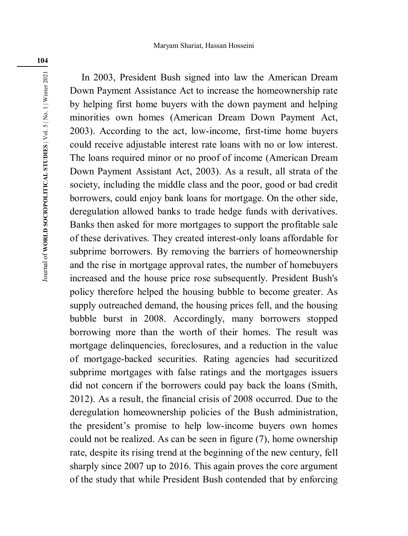In 2003, President Bush signed into law the American Dream Down Payment Assistance Act to increase the homeownership rate by helping first home buyers with the down payment and helping minorities own homes (American Dream Down Payment Act, 2003). According to the act, low-income, first-time home buyers could receive adjustable interest rate loans with no or low interest. The loans required minor or no proof of income (American Dream Down Payment Assistant Act, 2003). As a result, all strata of the society, including the middle class and the poor, good or bad credit borrowers, could enjoy bank loans for mortgage. On the other side, deregulation allowed banks to trade hedge funds with derivatives. Banks then asked for more mortgages to support the profitable sale of these derivatives. They created interest-only loans affordable for subprime borrowers. By removing the barriers of homeownership and the rise in mortgage approval rates, the number of homebuyers increased and the house price rose subsequently. President Bush's policy therefore helped the housing bubble to become greater. As supply outreached demand, the housing prices fell, and the housing bubble burst in 2008. Accordingly, many borrowers stopped borrowing more than the worth of their homes. The result was mortgage delinquencies, foreclosures, and a reduction in the value of mortgage-backed securities. Rating agencies had securitized subprime mortgages with false ratings and the mortgages issuers did not concern if the borrowers could pay back the loans (Smith, 2012). As a result, the financial crisis of 2008 occurred. Due to the deregulation homeownership policies of the Bush administration, the president's promise to help low-income buyers own homes could not be realized. As can be seen in figure (7), home ownership rate, despite its rising trend at the beginning of the new century, fell sharply since 2007 up to 2016. This again proves the core argument of the study that while President Bush contended that by enforcing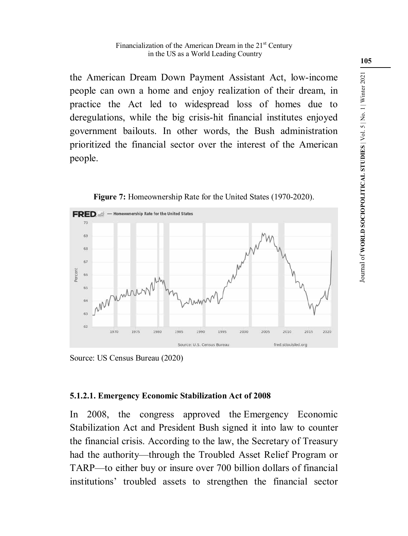the American Dream Down Payment Assistant Act, low-income people can own a home and enjoy realization of their dream, in practice the Act led to widespread loss of homes due to deregulations, while the big crisis-hit financial institutes enjoyed government bailouts. In other words, the Bush administration prioritized the financial sector over the interest of the American people.



**Figure 7:** Homeownership Rate for the United States (1970-2020).

Source: US Census Bureau (2020)

# **5.1.2.1. Emergency Economic Stabilization Act of 2008**

In 2008, the congress approved the Emergency Economic Stabilization Act and President Bush signed it into law to counter the financial crisis. According to the law, the Secretary of Treasury had the authority—through the Troubled Asset Relief Program or TARP—to either buy or insure over 700 billion dollars of financial institutions' troubled assets to strengthen the financial sector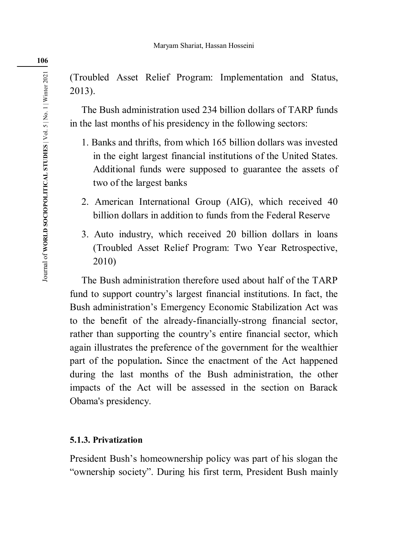(Troubled Asset Relief Program: Implementation and Status, 2013).

The Bush administration used 234 billion dollars of TARP funds in the last months of his presidency in the following sectors:

- 1. Banks and thrifts, from which 165 billion dollars was invested in the eight largest financial institutions of the United States. Additional funds were supposed to guarantee the assets of two of the largest banks
- 2. American International Group (AIG), which received 40 billion dollars in addition to funds from the Federal Reserve
- 3. Auto industry, which received 20 billion dollars in loans (Troubled Asset Relief Program: Two Year Retrospective, 2010)

The Bush administration therefore used about half of the TARP fund to support country's largest financial institutions. In fact, the Bush administration's Emergency Economic Stabilization Act was to the benefit of the already-financially-strong financial sector, rather than supporting the country's entire financial sector, which again illustrates the preference of the government for the wealthier part of the population**.** Since the enactment of the Act happened during the last months of the Bush administration, the other impacts of the Act will be assessed in the section on Barack Obama's presidency.

# **5.1.3. Privatization**

President Bush's homeownership policy was part of his slogan the "ownership society". During his first term, President Bush mainly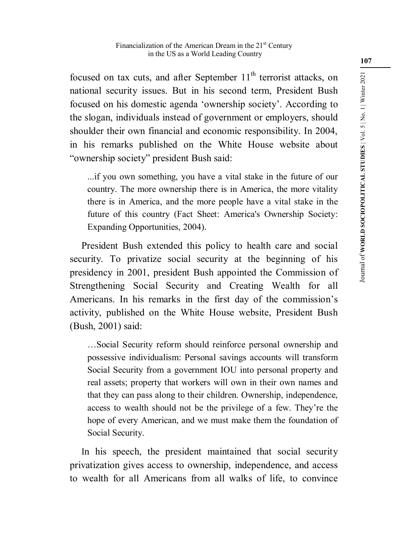focused on tax cuts, and after September  $11<sup>th</sup>$  terrorist attacks, on national security issues. But in his second term, President Bush focused on his domestic agenda 'ownership society'. According to the slogan, individuals instead of government or employers, should shoulder their own financial and economic responsibility. In 2004, in his remarks published on the White House website about "ownership society" president Bush said:

...if you own something, you have a vital stake in the future of our country. The more ownership there is in America, the more vitality there is in America, and the more people have a vital stake in the future of this country (Fact Sheet: America's Ownership Society: Expanding Opportunities, 2004).

President Bush extended this policy to health care and social security. To privatize social security at the beginning of his presidency in 2001, president Bush appointed the Commission of Strengthening Social Security and Creating Wealth for all Americans. In his remarks in the first day of the commission's activity, published on the White House website, President Bush (Bush, 2001) said:

…Social Security reform should reinforce personal ownership and possessive individualism: Personal savings accounts will transform Social Security from a government IOU into personal property and real assets; property that workers will own in their own names and that they can pass along to their children. Ownership, independence, access to wealth should not be the privilege of a few. They're the hope of every American, and we must make them the foundation of Social Security.

In his speech, the president maintained that social security privatization gives access to ownership, independence, and access to wealth for all Americans from all walks of life, to convince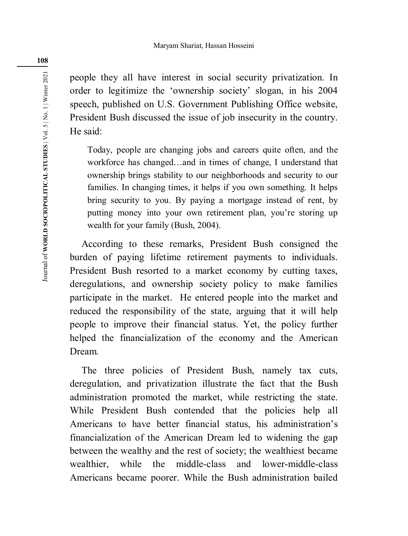people they all have interest in social security privatization. In order to legitimize the 'ownership society' slogan, in his 2004 speech, published on U.S. Government Publishing Office website, President Bush discussed the issue of job insecurity in the country. He said:

Today, people are changing jobs and careers quite often, and the workforce has changed…and in times of change, I understand that ownership brings stability to our neighborhoods and security to our families. In changing times, it helps if you own something. It helps bring security to you. By paying a mortgage instead of rent, by putting money into your own retirement plan, you're storing up wealth for your family (Bush, 2004).

According to these remarks, President Bush consigned the burden of paying lifetime retirement payments to individuals. President Bush resorted to a market economy by cutting taxes, deregulations, and ownership society policy to make families participate in the market. He entered people into the market and reduced the responsibility of the state, arguing that it will help people to improve their financial status. Yet, the policy further helped the financialization of the economy and the American Dream.

The three policies of President Bush, namely tax cuts, deregulation, and privatization illustrate the fact that the Bush administration promoted the market, while restricting the state. While President Bush contended that the policies help all Americans to have better financial status, his administration's financialization of the American Dream led to widening the gap between the wealthy and the rest of society; the wealthiest became wealthier, while the middle-class and lower-middle-class Americans became poorer. While the Bush administration bailed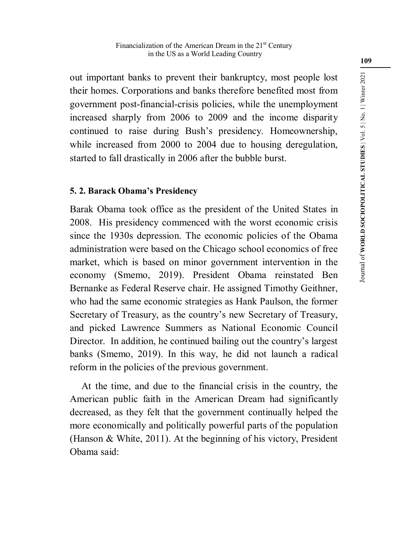out important banks to prevent their bankruptcy, most people lost their homes. Corporations and banks therefore benefited most from government post-financial-crisis policies, while the unemployment increased sharply from 2006 to 2009 and the income disparity continued to raise during Bush's presidency. Homeownership, while increased from 2000 to 2004 due to housing deregulation, started to fall drastically in 2006 after the bubble burst.

# **5. 2. Barack Obama's Presidency**

Barak Obama took office as the president of the United States in 2008. His presidency commenced with the worst economic crisis since the 1930s depression. The economic policies of the Obama administration were based on the Chicago school economics of free market, which is based on minor government intervention in the economy (Smemo, 2019). President Obama reinstated Ben Bernanke as Federal Reserve chair. He assigned Timothy Geithner, who had the same economic strategies as Hank Paulson, the former Secretary of Treasury, as the country's new Secretary of Treasury, and picked Lawrence Summers as National Economic Council Director. In addition, he continued bailing out the country's largest banks (Smemo, 2019). In this way, he did not launch a radical reform in the policies of the previous government.

At the time, and due to the financial crisis in the country, the American public faith in the American Dream had significantly decreased, as they felt that the government continually helped the more economically and politically powerful parts of the population (Hanson & White, 2011). At the beginning of his victory, President Obama said: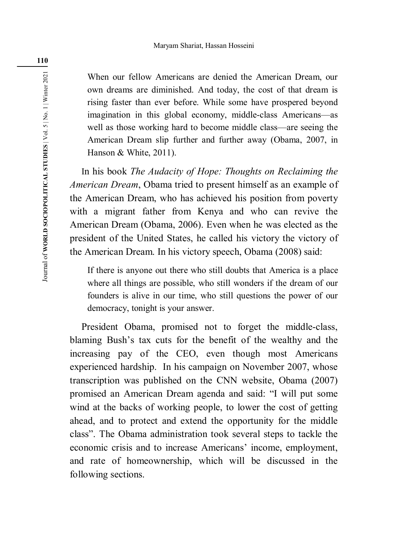When our fellow Americans are denied the American Dream, our own dreams are diminished. And today, the cost of that dream is rising faster than ever before. While some have prospered beyond imagination in this global economy, middle-class Americans—as well as those working hard to become middle class—are seeing the American Dream slip further and further away (Obama, 2007, in Hanson & White, 2011).

In his book *The Audacity of Hope: Thoughts on Reclaiming the American Dream*, Obama tried to present himself as an example of the American Dream, who has achieved his position from poverty with a migrant father from Kenya and who can revive the American Dream (Obama, 2006). Even when he was elected as the president of the United States, he called his victory the victory of the American Dream. In his victory speech, Obama (2008) said:

If there is anyone out there who still doubts that America is a place where all things are possible, who still wonders if the dream of our founders is alive in our time, who still questions the power of our democracy, tonight is your answer.

President Obama, promised not to forget the middle-class, blaming Bush's tax cuts for the benefit of the wealthy and the increasing pay of the CEO, even though most Americans experienced hardship. In his campaign on November 2007, whose transcription was published on the CNN website, Obama (2007) promised an American Dream agenda and said: "I will put some wind at the backs of working people, to lower the cost of getting ahead, and to protect and extend the opportunity for the middle class". The Obama administration took several steps to tackle the economic crisis and to increase Americans' income, employment, and rate of homeownership, which will be discussed in the following sections.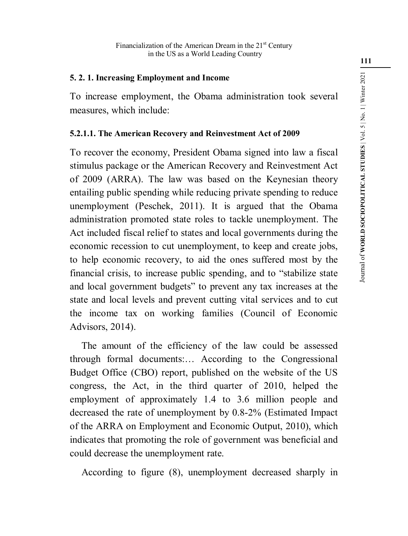# **5. 2. 1. Increasing Employment and Income**

To increase employment, the Obama administration took several measures, which include:

#### **5.2.1.1. The American Recovery and Reinvestment Act of 2009**

To recover the economy, President Obama signed into law a fiscal stimulus package or the American Recovery and Reinvestment Act of 2009 (ARRA). The law was based on the Keynesian theory entailing public spending while reducing private spending to reduce unemployment (Peschek, 2011). It is argued that the Obama administration promoted state roles to tackle unemployment. The Act included fiscal relief to states and local governments during the economic recession to cut unemployment, to keep and create jobs, to help economic recovery, to aid the ones suffered most by the financial crisis, to increase public spending, and to "stabilize state and local government budgets" to prevent any tax increases at the state and local levels and prevent cutting vital services and to cut the income tax on working families (Council of Economic Advisors, 2014).

The amount of the efficiency of the law could be assessed through formal documents:… According to the Congressional Budget Office (CBO) report, published on the website of the US congress, the Act, in the third quarter of 2010, helped the employment of approximately 1.4 to 3.6 million people and decreased the rate of unemployment by 0.8-2% (Estimated Impact of the ARRA on Employment and Economic Output, 2010), which indicates that promoting the role of government was beneficial and could decrease the unemployment rate.

According to figure (8), unemployment decreased sharply in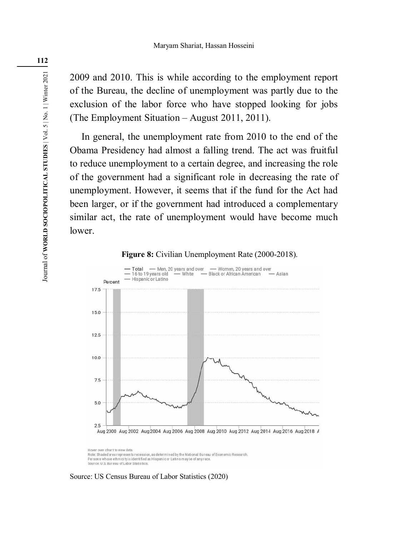2009 and 2010. This is while according to the employment report of the Bureau, the decline of unemployment was partly due to the exclusion of the labor force who have stopped looking for jobs (The Employment Situation – August 2011, 2011).

In general, the unemployment rate from 2010 to the end of the Obama Presidency had almost a falling trend. The act was fruitful to reduce unemployment to a certain degree, and increasing the role of the government had a significant role in decreasing the rate of unemployment. However, it seems that if the fund for the Act had been larger, or if the government had introduced a complementary similar act, the rate of unemployment would have become much lower.

#### **Figure 8:** Civilian Unemployment Rate (2000-2018).



Hover over chart to view date Note: Shaded area represents recession, as determined by the National Bureau of Economic Research Persons whose ethnicity is identified as Hispanic or Latino may be of any race Source: U.S. Bureau of Labor Statistics

Source: US Census Bureau of Labor Statistics (2020)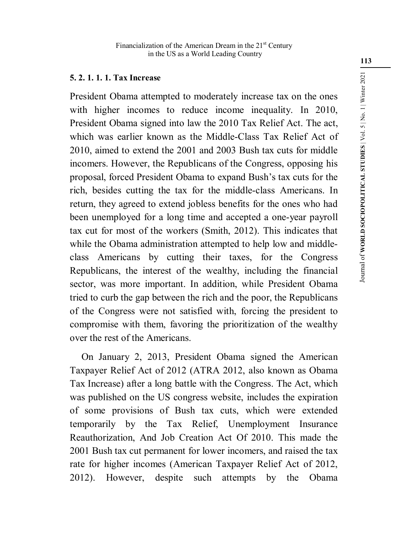# **5. 2. 1. 1. 1. Tax Increase**

President Obama attempted to moderately increase tax on the ones with higher incomes to reduce income inequality. In 2010, President Obama signed into law the 2010 Tax Relief Act. The act, which was earlier known as the Middle-Class Tax Relief Act of 2010, aimed to extend the 2001 and 2003 Bush tax cuts for middle incomers. However, the Republicans of the Congress, opposing his proposal, forced President Obama to expand Bush's tax cuts for the rich, besides cutting the tax for the middle-class Americans. In return, they agreed to extend jobless benefits for the ones who had been unemployed for a long time and accepted a one-year payroll tax cut for most of the workers (Smith, 2012). This indicates that while the Obama administration attempted to help low and middleclass Americans by cutting their taxes, for the Congress Republicans, the interest of the wealthy, including the financial sector, was more important. In addition, while President Obama tried to curb the gap between the rich and the poor, the Republicans of the Congress were not satisfied with, forcing the president to compromise with them, favoring the prioritization of the wealthy over the rest of the Americans.

On January 2, 2013, President Obama signed the American Taxpayer Relief Act of 2012 (ATRA 2012, also known as Obama Tax Increase) after a long battle with the Congress. The Act, which was published on the US congress website, includes the expiration of some provisions of Bush tax cuts, which were extended temporarily by the Tax Relief, Unemployment Insurance Reauthorization, And Job Creation Act Of 2010. This made the 2001 Bush tax cut permanent for lower incomers, and raised the tax rate for higher incomes (American Taxpayer Relief Act of 2012, 2012). However, despite such attempts by the Obama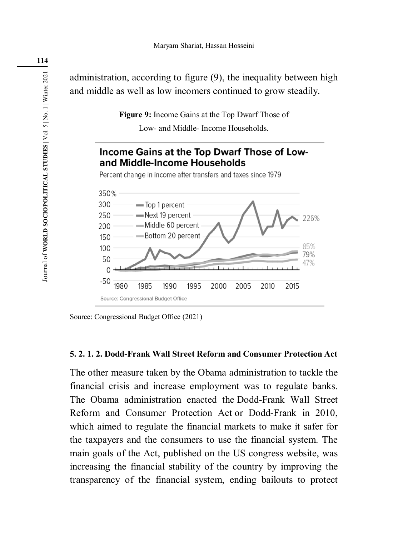administration, according to figure (9), the inequality between high and middle as well as low incomers continued to grow steadily.

> **Figure 9:** Income Gains at the Top Dwarf Those of Low- and Middle- Income Households.



Source: Congressional Budget Office (2021)

# **5. 2. 1. 2. Dodd-Frank Wall Street Reform and Consumer Protection Act**

The other measure taken by the Obama administration to tackle the financial crisis and increase employment was to regulate banks. The Obama administration enacted the Dodd-Frank Wall Street Reform and Consumer Protection Act or Dodd-Frank in 2010, which aimed to regulate the financial markets to make it safer for the taxpayers and the consumers to use the financial system. The main goals of the Act, published on the US congress website, was increasing the financial stability of the country by improving the transparency of the financial system, ending bailouts to protect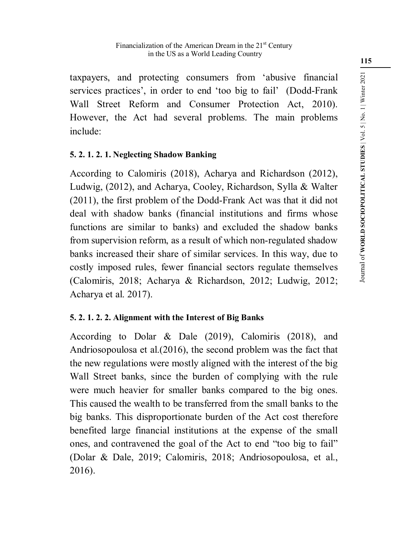taxpayers, and protecting consumers from 'abusive financial services practices', in order to end 'too big to fail' (Dodd-Frank Wall Street Reform and Consumer Protection Act, 2010). However, the Act had several problems. The main problems include:

# **5. 2. 1. 2. 1. Neglecting Shadow Banking**

According to Calomiris (2018), Acharya and Richardson (2012), Ludwig, (2012), and Acharya, Cooley, Richardson, Sylla & Walter (2011), the first problem of the Dodd-Frank Act was that it did not deal with shadow banks (financial institutions and firms whose functions are similar to banks) and excluded the shadow banks from supervision reform, as a result of which non-regulated shadow banks increased their share of similar services. In this way, due to costly imposed rules, fewer financial sectors regulate themselves (Calomiris, 2018; Acharya & Richardson, 2012; Ludwig, 2012; Acharya et al. 2017).

# **5. 2. 1. 2. 2. Alignment with the Interest of Big Banks**

According to Dolar & Dale (2019), Calomiris (2018), and Andriosopoulosa et al.(2016), the second problem was the fact that the new regulations were mostly aligned with the interest of the big Wall Street banks, since the burden of complying with the rule were much heavier for smaller banks compared to the big ones. This caused the wealth to be transferred from the small banks to the big banks. This disproportionate burden of the Act cost therefore benefited large financial institutions at the expense of the small ones, and contravened the goal of the Act to end "too big to fail" (Dolar & Dale, 2019; Calomiris, 2018; Andriosopoulosa, et al., 2016).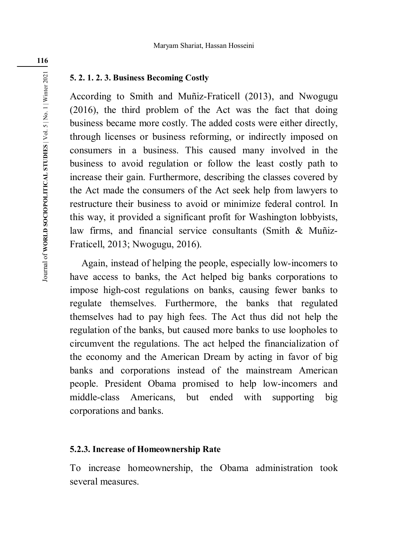#### **5. 2. 1. 2. 3. Business Becoming Costly**

According to Smith and Muñiz-Fraticell (2013), and Nwogugu (2016), the third problem of the Act was the fact that doing business became more costly. The added costs were either directly, through licenses or business reforming, or indirectly imposed on consumers in a business. This caused many involved in the business to avoid regulation or follow the least costly path to increase their gain. Furthermore, describing the classes covered by the Act made the consumers of the Act seek help from lawyers to restructure their business to avoid or minimize federal control. In this way, it provided a significant profit for Washington lobbyists, law firms, and financial service consultants (Smith & Muñiz-Fraticell, 2013; Nwogugu, 2016).

Again, instead of helping the people, especially low-incomers to have access to banks, the Act helped big banks corporations to impose high-cost regulations on banks, causing fewer banks to regulate themselves. Furthermore, the banks that regulated themselves had to pay high fees. The Act thus did not help the regulation of the banks, but caused more banks to use loopholes to circumvent the regulations. The act helped the financialization of the economy and the American Dream by acting in favor of big banks and corporations instead of the mainstream American people. President Obama promised to help low-incomers and middle-class Americans, but ended with supporting big corporations and banks.

#### **5.2.3. Increase of Homeownership Rate**

To increase homeownership, the Obama administration took several measures.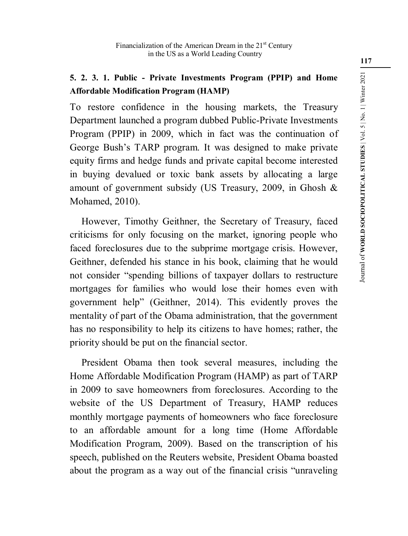# **5. 2. 3. 1. Public - Private Investments Program (PPIP) and Home Affordable Modification Program (HAMP)**

To restore confidence in the housing markets, the Treasury Department launched a program dubbed Public-Private Investments Program (PPIP) in 2009, which in fact was the continuation of George Bush's TARP program. It was designed to make private equity firms and hedge funds and private capital become interested in buying devalued or toxic bank assets by allocating a large amount of government subsidy (US Treasury, 2009, in Ghosh & Mohamed, 2010).

However, Timothy Geithner, the Secretary of Treasury, faced criticisms for only focusing on the market, ignoring people who faced foreclosures due to the subprime mortgage crisis. However, Geithner, defended his stance in his book, claiming that he would not consider "spending billions of taxpayer dollars to restructure mortgages for families who would lose their homes even with government help" (Geithner, 2014). This evidently proves the mentality of part of the Obama administration, that the government has no responsibility to help its citizens to have homes; rather, the priority should be put on the financial sector.

President Obama then took several measures, including the Home Affordable Modification Program (HAMP) as part of TARP in 2009 to save homeowners from foreclosures. According to the website of the US Department of Treasury, HAMP reduces monthly mortgage payments of homeowners who face foreclosure to an affordable amount for a long time (Home Affordable Modification Program, 2009). Based on the transcription of his speech, published on the Reuters website, President Obama boasted about the program as a way out of the financial crisis "unraveling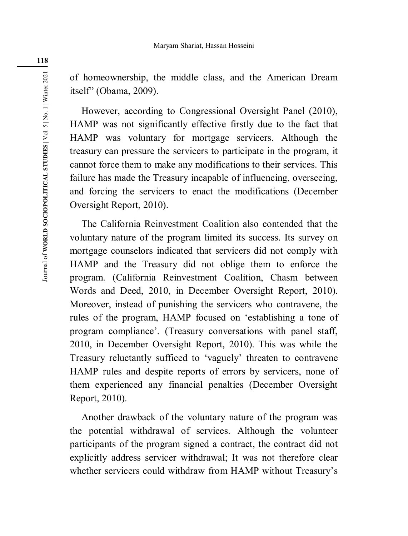of homeownership, the middle class, and the American Dream itself" (Obama, 2009).

However, according to Congressional Oversight Panel (2010), HAMP was not significantly effective firstly due to the fact that HAMP was voluntary for mortgage servicers. Although the treasury can pressure the servicers to participate in the program, it cannot force them to make any modifications to their services. This failure has made the Treasury incapable of influencing, overseeing, and forcing the servicers to enact the modifications (December Oversight Report, 2010).

The California Reinvestment Coalition also contended that the voluntary nature of the program limited its success. Its survey on mortgage counselors indicated that servicers did not comply with HAMP and the Treasury did not oblige them to enforce the program. (California Reinvestment Coalition, Chasm between Words and Deed, 2010, in December Oversight Report, 2010). Moreover, instead of punishing the servicers who contravene, the rules of the program, HAMP focused on 'establishing a tone of program compliance'. (Treasury conversations with panel staff, 2010, in December Oversight Report, 2010). This was while the Treasury reluctantly sufficed to 'vaguely' threaten to contravene HAMP rules and despite reports of errors by servicers, none of them experienced any financial penalties (December Oversight Report, 2010).

Another drawback of the voluntary nature of the program was the potential withdrawal of services. Although the volunteer participants of the program signed a contract, the contract did not explicitly address servicer withdrawal; It was not therefore clear whether servicers could withdraw from HAMP without Treasury's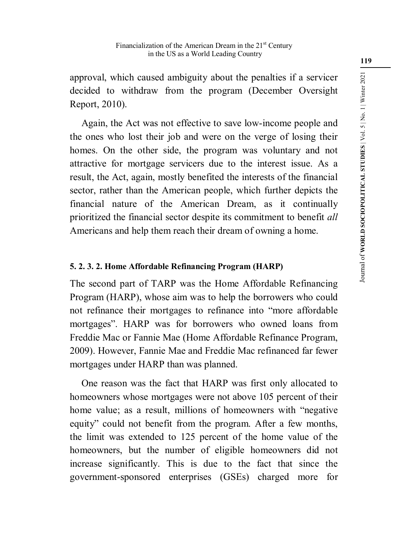approval, which caused ambiguity about the penalties if a servicer decided to withdraw from the program (December Oversight Report, 2010).

Again, the Act was not effective to save low-income people and the ones who lost their job and were on the verge of losing their homes. On the other side, the program was voluntary and not attractive for mortgage servicers due to the interest issue. As a result, the Act, again, mostly benefited the interests of the financial sector, rather than the American people, which further depicts the financial nature of the American Dream, as it continually prioritized the financial sector despite its commitment to benefit *all* Americans and help them reach their dream of owning a home.

# **5. 2. 3. 2. Home Affordable Refinancing Program (HARP)**

The second part of TARP was the Home Affordable Refinancing Program (HARP), whose aim was to help the borrowers who could not refinance their mortgages to refinance into "more affordable mortgages". HARP was for borrowers who owned loans from Freddie Mac or Fannie Mae (Home Affordable Refinance Program, 2009). However, Fannie Mae and Freddie Mac refinanced far fewer mortgages under HARP than was planned.

One reason was the fact that HARP was first only allocated to homeowners whose mortgages were not above 105 percent of their home value; as a result, millions of homeowners with "negative equity" could not benefit from the program. After a few months, the limit was extended to 125 percent of the home value of the homeowners, but the number of eligible homeowners did not increase significantly. This is due to the fact that since the government-sponsored enterprises (GSEs) charged more for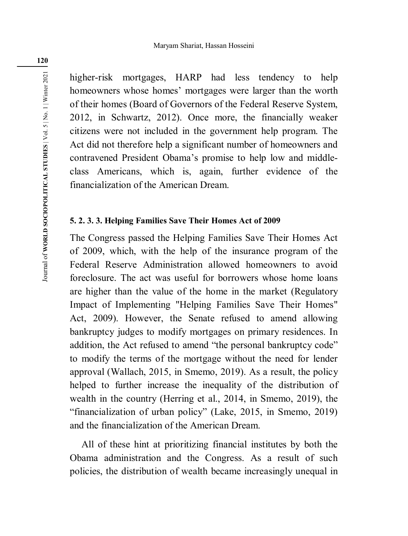higher-risk mortgages, HARP had less tendency to help homeowners whose homes' mortgages were larger than the worth of their homes (Board of Governors of the Federal Reserve System, 2012, in Schwartz, 2012). Once more, the financially weaker citizens were not included in the government help program. The Act did not therefore help a significant number of homeowners and contravened President Obama's promise to help low and middleclass Americans, which is, again, further evidence of the financialization of the American Dream.

# **5. 2. 3. 3. Helping Families Save Their Homes Act of 2009**

The Congress passed the Helping Families Save Their Homes Act of 2009, which, with the help of the insurance program of the Federal Reserve Administration allowed homeowners to avoid foreclosure. The act was useful for borrowers whose home loans are higher than the value of the home in the market (Regulatory Impact of Implementing "Helping Families Save Their Homes" Act, 2009). However, the Senate refused to amend allowing bankruptcy judges to modify mortgages on primary residences. In addition, the Act refused to amend "the personal bankruptcy code" to modify the terms of the mortgage without the need for lender approval (Wallach, 2015, in Smemo, 2019). As a result, the policy helped to further increase the inequality of the distribution of wealth in the country (Herring et al., 2014, in Smemo, 2019), the "financialization of urban policy" (Lake, 2015, in Smemo, 2019) and the financialization of the American Dream.

All of these hint at prioritizing financial institutes by both the Obama administration and the Congress. As a result of such policies, the distribution of wealth became increasingly unequal in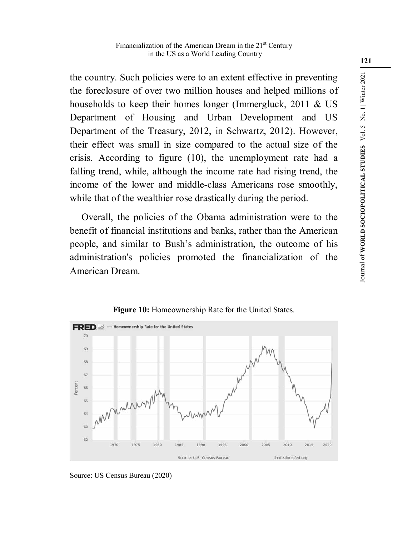the country. Such policies were to an extent effective in preventing the foreclosure of over two million houses and helped millions of households to keep their homes longer (Immergluck, 2011 & US Department of Housing and Urban Development and US Department of the Treasury, 2012, in Schwartz, 2012). However, their effect was small in size compared to the actual size of the crisis. According to figure (10), the unemployment rate had a falling trend, while, although the income rate had rising trend, the income of the lower and middle-class Americans rose smoothly, while that of the wealthier rose drastically during the period.

Overall, the policies of the Obama administration were to the benefit of financial institutions and banks, rather than the American people, and similar to Bush's administration, the outcome of his administration's policies promoted the financialization of the American Dream.



**Figure 10:** Homeownership Rate for the United States.

Source: US Census Bureau (2020)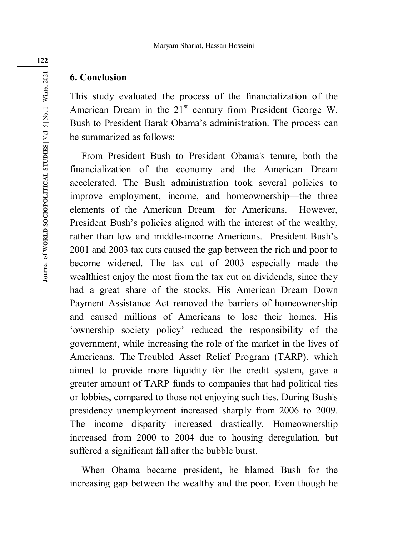# **6. Conclusion**

This study evaluated the process of the financialization of the American Dream in the 21<sup>st</sup> century from President George W. Bush to President Barak Obama's administration. The process can be summarized as follows:

From President Bush to President Obama's tenure, both the financialization of the economy and the American Dream accelerated. The Bush administration took several policies to improve employment, income, and homeownership—the three elements of the American Dream—for Americans. However, President Bush's policies aligned with the interest of the wealthy, rather than low and middle-income Americans. President Bush's 2001 and 2003 tax cuts caused the gap between the rich and poor to become widened. The tax cut of 2003 especially made the wealthiest enjoy the most from the tax cut on dividends, since they had a great share of the stocks. His American Dream Down Payment Assistance Act removed the barriers of homeownership and caused millions of Americans to lose their homes. His 'ownership society policy' reduced the responsibility of the government, while increasing the role of the market in the lives of Americans. The Troubled Asset Relief Program (TARP), which aimed to provide more liquidity for the credit system, gave a greater amount of TARP funds to companies that had political ties or lobbies, compared to those not enjoying such ties. During Bush's presidency unemployment increased sharply from 2006 to 2009. The income disparity increased drastically. Homeownership increased from 2000 to 2004 due to housing deregulation, but suffered a significant fall after the bubble burst.

When Obama became president, he blamed Bush for the increasing gap between the wealthy and the poor. Even though he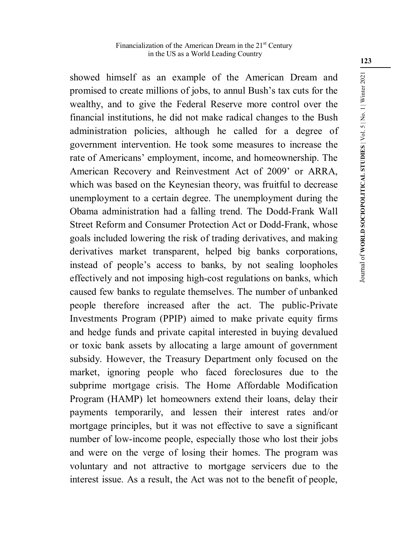#### Financialization of the American Dream in the  $21<sup>st</sup>$  Century in the US as a World Leading Country

showed himself as an example of the American Dream and promised to create millions of jobs, to annul Bush's tax cuts for the wealthy, and to give the Federal Reserve more control over the financial institutions, he did not make radical changes to the Bush administration policies, although he called for a degree of government intervention. He took some measures to increase the rate of Americans' employment, income, and homeownership. The American Recovery and Reinvestment Act of 2009' or ARRA, which was based on the Keynesian theory, was fruitful to decrease unemployment to a certain degree. The unemployment during the Obama administration had a falling trend. The Dodd-Frank Wall Street Reform and Consumer Protection Act or Dodd-Frank, whose goals included lowering the risk of trading derivatives, and making derivatives market transparent, helped big banks corporations, instead of people's access to banks, by not sealing loopholes effectively and not imposing high-cost regulations on banks, which caused few banks to regulate themselves. The number of unbanked people therefore increased after the act. The public-Private Investments Program (PPIP) aimed to make private equity firms and hedge funds and private capital interested in buying devalued or toxic bank assets by allocating a large amount of government subsidy. However, the Treasury Department only focused on the market, ignoring people who faced foreclosures due to the subprime mortgage crisis. The Home Affordable Modification Program (HAMP) let homeowners extend their loans, delay their payments temporarily, and lessen their interest rates and/or mortgage principles, but it was not effective to save a significant number of low-income people, especially those who lost their jobs and were on the verge of losing their homes. The program was voluntary and not attractive to mortgage servicers due to the interest issue. As a result, the Act was not to the benefit of people,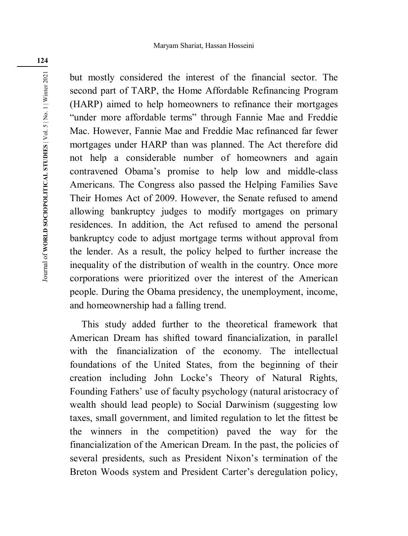but mostly considered the interest of the financial sector. The second part of TARP, the Home Affordable Refinancing Program (HARP) aimed to help homeowners to refinance their mortgages "under more affordable terms" through Fannie Mae and Freddie Mac. However, Fannie Mae and Freddie Mac refinanced far fewer mortgages under HARP than was planned. The Act therefore did not help a considerable number of homeowners and again contravened Obama's promise to help low and middle-class Americans. The Congress also passed the Helping Families Save Their Homes Act of 2009. However, the Senate refused to amend allowing bankruptcy judges to modify mortgages on primary residences. In addition, the Act refused to amend the personal bankruptcy code to adjust mortgage terms without approval from the lender. As a result, the policy helped to further increase the inequality of the distribution of wealth in the country. Once more corporations were prioritized over the interest of the American people. During the Obama presidency, the unemployment, income, and homeownership had a falling trend.

This study added further to the theoretical framework that American Dream has shifted toward financialization, in parallel with the financialization of the economy. The intellectual foundations of the United States, from the beginning of their creation including John Locke's Theory of Natural Rights, Founding Fathers' use of faculty psychology (natural aristocracy of wealth should lead people) to Social Darwinism (suggesting low taxes, small government, and limited regulation to let the fittest be the winners in the competition) paved the way for the financialization of the American Dream. In the past, the policies of several presidents, such as President Nixon's termination of the Breton Woods system and President Carter's deregulation policy,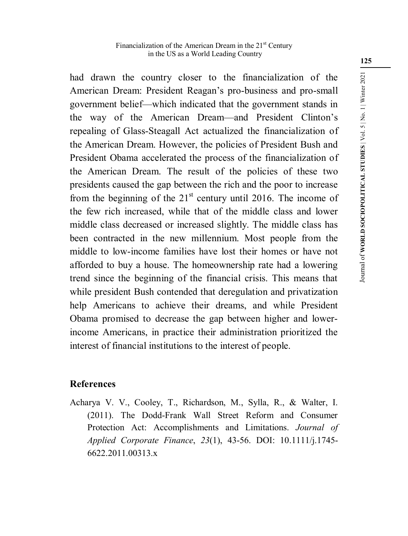#### Financialization of the American Dream in the  $21<sup>st</sup>$  Century in the US as a World Leading Country

had drawn the country closer to the financialization of the American Dream: President Reagan's pro-business and pro-small government belief—which indicated that the government stands in the way of the American Dream—and President Clinton's repealing of Glass-Steagall Act actualized the financialization of the American Dream. However, the policies of President Bush and President Obama accelerated the process of the financialization of the American Dream. The result of the policies of these two presidents caused the gap between the rich and the poor to increase from the beginning of the  $21<sup>st</sup>$  century until 2016. The income of the few rich increased, while that of the middle class and lower middle class decreased or increased slightly. The middle class has been contracted in the new millennium. Most people from the middle to low-income families have lost their homes or have not afforded to buy a house. The homeownership rate had a lowering trend since the beginning of the financial crisis. This means that while president Bush contended that deregulation and privatization help Americans to achieve their dreams, and while President Obama promised to decrease the gap between higher and lowerincome Americans, in practice their administration prioritized the interest of financial institutions to the interest of people.

# **References**

Acharya V. V., Cooley, T., Richardson, M., Sylla, R., & Walter, I. (2011). The Dodd-Frank Wall Street Reform and Consumer Protection Act: Accomplishments and Limitations. *Journal of Applied Corporate Finance*, *23*(1), 43-56. DOI: 10.1111/j.1745- 6622.2011.00313.x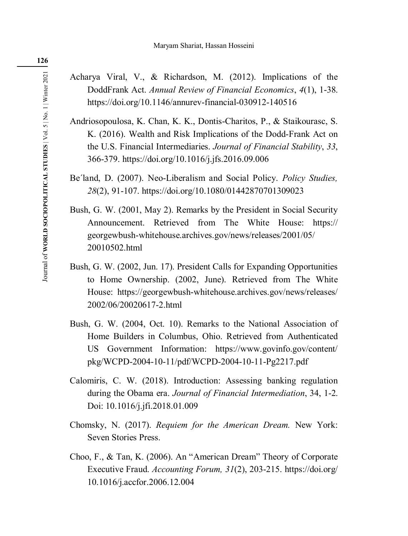Acharya Viral, V., & Richardson, M. (2012). Implications of the DoddFrank Act. *Annual Review of Financial Economics*, *4*(1), 1-38. https://doi.org/10.1146/annurev-financial-030912-140516

- Andriosopoulosa, K. Chan, K. K., Dontis-Charitos, P., & Staikourasc, S. K. (2016). Wealth and Risk Implications of the Dodd-Frank Act on the U.S. Financial Intermediaries. *Journal of Financial Stability*, *33*, 366-379. https://doi.org/10.1016/j.jfs.2016.09.006
- Be´land, D. (2007). Neo-Liberalism and Social Policy. *Policy Studies, 28*(2), 91-107. https://doi.org/10.1080/01442870701309023
- Bush, G. W. (2001, May 2). Remarks by the President in Social Security Announcement. Retrieved from The White House: https:// georgewbush-whitehouse.archives.gov/news/releases/2001/05/ 20010502.html
- Bush, G. W. (2002, Jun. 17). President Calls for Expanding Opportunities to Home Ownership. (2002, June). Retrieved from The White House: https://georgewbush-whitehouse.archives.gov/news/releases/ 2002/06/20020617-2.html
- Bush, G. W. (2004, Oct. 10). Remarks to the National Association of Home Builders in Columbus, Ohio. Retrieved from Authenticated US Government Information: https://www.govinfo.gov/content/ pkg/WCPD-2004-10-11/pdf/WCPD-2004-10-11-Pg2217.pdf
- Calomiris, C. W. (2018). Introduction: Assessing banking regulation during the Obama era. *Journal of Financial Intermediation*, 34, 1-2. Doi: 10.1016/j.jfi.2018.01.009
- Chomsky, N. (2017). *Requiem for the American Dream.* New York: Seven Stories Press.
- Choo, F., & Tan, K. (2006). An "American Dream" Theory of Corporate Executive Fraud. *Accounting Forum, 31*(2), 203-215. https://doi.org/ 10.1016/j.accfor.2006.12.004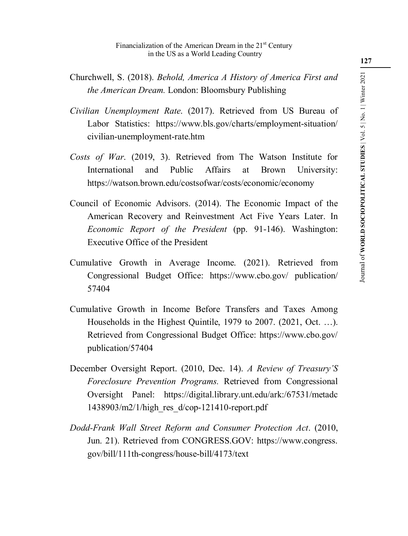- Churchwell, S. (2018). *Behold, America A History of America First and the American Dream.* London: Bloomsbury Publishing
- *Civilian Unemployment Rate*. (2017). Retrieved from US Bureau of Labor Statistics: https://www.bls.gov/charts/employment-situation/ civilian-unemployment-rate.htm
- *Costs of War*. (2019, 3). Retrieved from The Watson Institute for International and Public Affairs at Brown University: https://watson.brown.edu/costsofwar/costs/economic/economy
- Council of Economic Advisors. (2014). The Economic Impact of the American Recovery and Reinvestment Act Five Years Later. In *Economic Report of the President* (pp. 91-146). Washington: Executive Office of the President
- Cumulative Growth in Average Income. (2021). Retrieved from Congressional Budget Office: https://www.cbo.gov/ publication/ 57404
- Cumulative Growth in Income Before Transfers and Taxes Among Households in the Highest Quintile, 1979 to 2007. (2021, Oct. …). Retrieved from Congressional Budget Office: https://www.cbo.gov/ publication/57404
- December Oversight Report. (2010, Dec. 14). *A Review of Treasury'S Foreclosure Prevention Programs.* Retrieved from Congressional Oversight Panel: https://digital.library.unt.edu/ark:/67531/metadc 1438903/m2/1/high\_res\_d/cop-121410-report.pdf
- *Dodd-Frank Wall Street Reform and Consumer Protection Act*. (2010, Jun. 21). Retrieved from CONGRESS.GOV: https://www.congress. gov/bill/111th-congress/house-bill/4173/text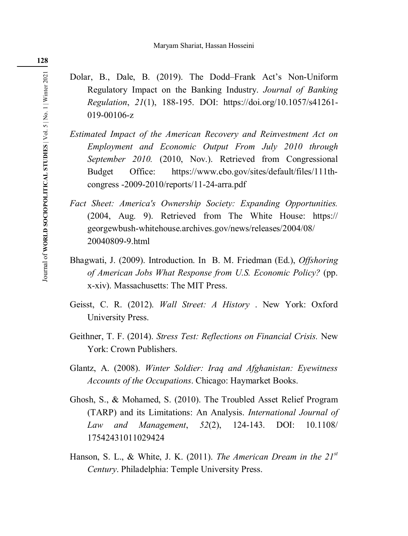- Dolar, B., Dale, B. (2019). The Dodd–Frank Act's Non-Uniform Regulatory Impact on the Banking Industry. *Journal of Banking Regulation*, *21*(1), 188-195. DOI: https://doi.org/10.1057/s41261- 019-00106-z
- *Estimated Impact of the American Recovery and Reinvestment Act on Employment and Economic Output From July 2010 through September 2010.* (2010, Nov.). Retrieved from Congressional Budget Office: https://www.cbo.gov/sites/default/files/111thcongress -2009-2010/reports/11-24-arra.pdf
- *Fact Sheet: America's Ownership Society: Expanding Opportunities.* (2004, Aug. 9). Retrieved from The White House: https:// georgewbush-whitehouse.archives.gov/news/releases/2004/08/ 20040809-9.html
- Bhagwati, J. (2009). Introduction. In B. M. Friedman (Ed.), *Offshoring of American Jobs What Response from U.S. Economic Policy?* (pp. x-xiv). Massachusetts: The MIT Press.
- Geisst, C. R. (2012). *Wall Street: A History* . New York: Oxford University Press.
- Geithner, T. F. (2014). *Stress Test: Reflections on Financial Crisis.* New York: Crown Publishers.
- Glantz, A. (2008). *Winter Soldier: Iraq and Afghanistan: Eyewitness Accounts of the Occupations*. Chicago: Haymarket Books.
- Ghosh, S., & Mohamed, S. (2010). The Troubled Asset Relief Program (TARP) and its Limitations: An Analysis. *International Journal of Law and Management*, *52*(2), 124-143. DOI: 10.1108/ 17542431011029424
- Hanson, S. L., & White, J. K. (2011). *The American Dream in the 21st Century*. Philadelphia: Temple University Press.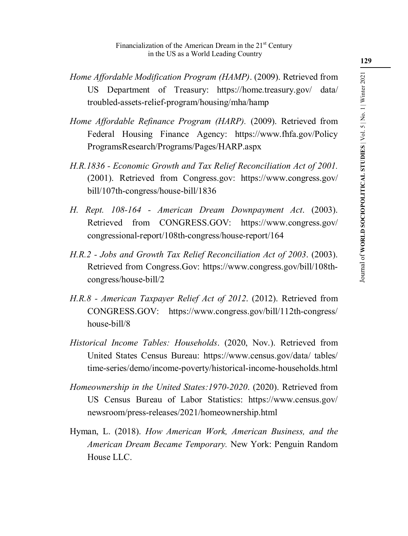- *Home Affordable Modification Program (HAMP)*. (2009). Retrieved from US Department of Treasury: https://home.treasury.gov/ data/ troubled-assets-relief-program/housing/mha/hamp
- *Home Affordable Refinance Program (HARP).* (2009). Retrieved from Federal Housing Finance Agency: https://www.fhfa.gov/Policy ProgramsResearch/Programs/Pages/HARP.aspx
- *H.R.1836 Economic Growth and Tax Relief Reconciliation Act of 2001.* (2001). Retrieved from Congress.gov: https://www.congress.gov/ bill/107th-congress/house-bill/1836
- *H. Rept. 108-164 American Dream Downpayment Act*. (2003). Retrieved from CONGRESS.GOV: https://www.congress.gov/ congressional-report/108th-congress/house-report/164
- *H.R.2 Jobs and Growth Tax Relief Reconciliation Act of 2003*. (2003). Retrieved from Congress.Gov: https://www.congress.gov/bill/108thcongress/house-bill/2
- *H.R.8 American Taxpayer Relief Act of 2012*. (2012). Retrieved from CONGRESS.GOV: https://www.congress.gov/bill/112th-congress/ house-bill/8
- *Historical Income Tables: Households*. (2020, Nov.). Retrieved from United States Census Bureau: https://www.census.gov/data/ tables/ time-series/demo/income-poverty/historical-income-households.html
- *Homeownership in the United States:1970-2020*. (2020). Retrieved from US Census Bureau of Labor Statistics: https://www.census.gov/ newsroom/press-releases/2021/homeownership.html
- Hyman, L. (2018). *How American Work, American Business, and the American Dream Became Temporary.* New York: Penguin Random House LLC.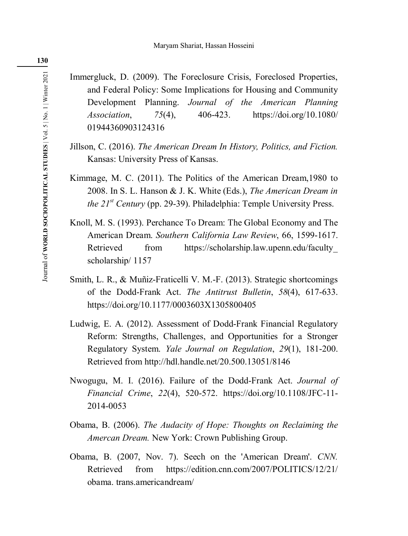Immergluck, D. (2009). The Foreclosure Crisis, Foreclosed Properties, and Federal Policy: Some Implications for Housing and Community Development Planning. *Journal of the American Planning Association*, *75*(4), 406-423. https://doi.org/10.1080/ 01944360903124316

- Jillson, C. (2016). *The American Dream In History, Politics, and Fiction.* Kansas: University Press of Kansas.
- Kimmage, M. C. (2011). The Politics of the American Dream,1980 to 2008. In S. L. Hanson & J. K. White (Eds.), *The American Dream in the 21st Century* (pp. 29-39). Philadelphia: Temple University Press.
- Knoll, M. S. (1993). Perchance To Dream: The Global Economy and The American Dream. *Southern California Law Review*, 66, 1599-1617. Retrieved from https://scholarship.law.upenn.edu/faculty scholarship/ 1157
- Smith, L. R., & Muñiz-Fraticelli V. M.-F. (2013). Strategic shortcomings of the Dodd-Frank Act. *The Antitrust Bulletin*, *58*(4), 617-633. https://doi.org/10.1177/0003603X1305800405
- Ludwig, E. A. (2012). Assessment of Dodd-Frank Financial Regulatory Reform: Strengths, Challenges, and Opportunities for a Stronger Regulatory System. *Yale Journal on Regulation*, *29*(1), 181-200. Retrieved from http://hdl.handle.net/20.500.13051/8146
- Nwogugu, M. I. (2016). Failure of the Dodd-Frank Act. *Journal of Financial Crime*, *22*(4), 520-572. https://doi.org/10.1108/JFC-11- 2014-0053
- Obama, B. (2006). *The Audacity of Hope: Thoughts on Reclaiming the Amercan Dream.* New York: Crown Publishing Group.
- Obama, B. (2007, Nov. 7). Seech on the 'American Dream'. *CNN.*  Retrieved from https://edition.cnn.com/2007/POLITICS/12/21/ obama. trans.americandream/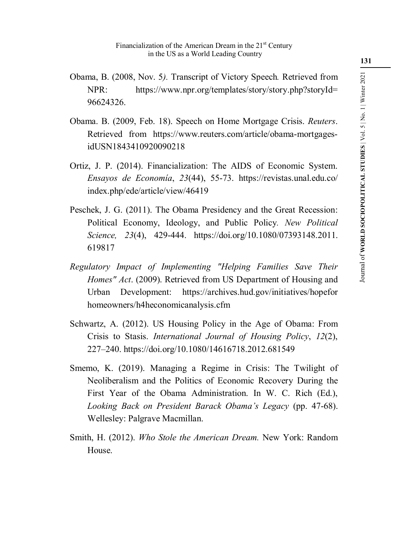- Obama, B. (2008, Nov. 5*).* Transcript of Victory Speech*.* Retrieved from NPR: https://www.npr.org/templates/story/story.php?storyId= 96624326.
- Obama. B. (2009, Feb. 18). Speech on Home Mortgage Crisis. *Reuters*. Retrieved from https://www.reuters.com/article/obama-mortgagesidUSN1843410920090218
- Ortiz, J. P. (2014). Financialization: The AIDS of Economic System. *Ensayos de Economía*, *23*(44), 55-73. https://revistas.unal.edu.co/ index.php/ede/article/view/46419
- Peschek, J. G. (2011). The Obama Presidency and the Great Recession: Political Economy, Ideology, and Public Policy*. New Political Science, 23*(4), 429-444. https://doi.org/10.1080/07393148.2011. 619817
- *Regulatory Impact of Implementing "Helping Families Save Their Homes" Act*. (2009). Retrieved from US Department of Housing and Urban Development: https://archives.hud.gov/initiatives/hopefor homeowners/h4heconomicanalysis.cfm
- Schwartz, A. (2012). US Housing Policy in the Age of Obama: From Crisis to Stasis. *International Journal of Housing Policy*, *12*(2), 227–240. https://doi.org/10.1080/14616718.2012.681549
- Smemo, K. (2019). Managing a Regime in Crisis: The Twilight of Neoliberalism and the Politics of Economic Recovery During the First Year of the Obama Administration. In W. C. Rich (Ed.), *Looking Back on President Barack Obama's Legacy* (pp. 47-68). Wellesley: Palgrave Macmillan.
- Smith, H. (2012). *Who Stole the American Dream.* New York: Random House.